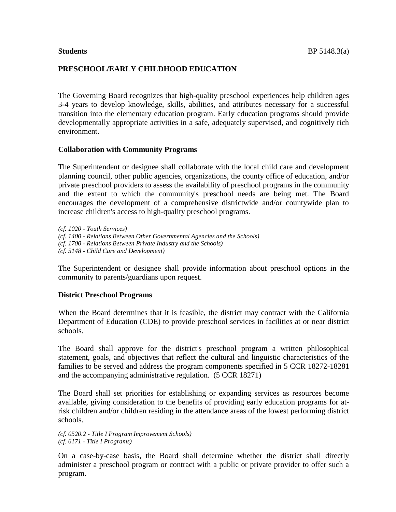## **PRESCHOOL/EARLY CHILDHOOD EDUCATION**

The Governing Board recognizes that high-quality preschool experiences help children ages 3-4 years to develop knowledge, skills, abilities, and attributes necessary for a successful transition into the elementary education program. Early education programs should provide developmentally appropriate activities in a safe, adequately supervised, and cognitively rich environment.

#### **Collaboration with Community Programs**

The Superintendent or designee shall collaborate with the local child care and development planning council, other public agencies, organizations, the county office of education, and/or private preschool providers to assess the availability of preschool programs in the community and the extent to which the community's preschool needs are being met. The Board encourages the development of a comprehensive districtwide and/or countywide plan to increase children's access to high-quality preschool programs.

*(cf. 1020 - Youth Services) (cf. 1400 - Relations Between Other Governmental Agencies and the Schools) (cf. 1700 - Relations Between Private Industry and the Schools) (cf. 5148 - Child Care and Development)*

The Superintendent or designee shall provide information about preschool options in the community to parents/guardians upon request.

#### **District Preschool Programs**

When the Board determines that it is feasible, the district may contract with the California Department of Education (CDE) to provide preschool services in facilities at or near district schools.

The Board shall approve for the district's preschool program a written philosophical statement, goals, and objectives that reflect the cultural and linguistic characteristics of the families to be served and address the program components specified in 5 CCR 18272-18281 and the accompanying administrative regulation. (5 CCR 18271)

The Board shall set priorities for establishing or expanding services as resources become available, giving consideration to the benefits of providing early education programs for atrisk children and/or children residing in the attendance areas of the lowest performing district schools.

*(cf. 0520.2 - Title I Program Improvement Schools) (cf. 6171 - Title I Programs)*

On a case-by-case basis, the Board shall determine whether the district shall directly administer a preschool program or contract with a public or private provider to offer such a program.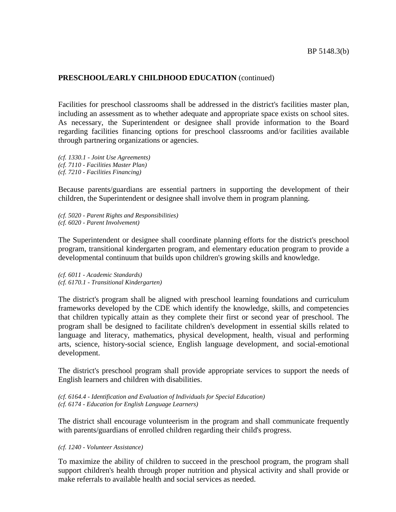Facilities for preschool classrooms shall be addressed in the district's facilities master plan, including an assessment as to whether adequate and appropriate space exists on school sites. As necessary, the Superintendent or designee shall provide information to the Board regarding facilities financing options for preschool classrooms and/or facilities available through partnering organizations or agencies.

*(cf. 1330.1 - Joint Use Agreements) (cf. 7110 - Facilities Master Plan) (cf. 7210 - Facilities Financing)*

Because parents/guardians are essential partners in supporting the development of their children, the Superintendent or designee shall involve them in program planning.

*(cf. 5020 - Parent Rights and Responsibilities) (cf. 6020 - Parent Involvement)*

The Superintendent or designee shall coordinate planning efforts for the district's preschool program, transitional kindergarten program, and elementary education program to provide a developmental continuum that builds upon children's growing skills and knowledge.

*(cf. 6011 - Academic Standards) (cf. 6170.1 - Transitional Kindergarten)*

The district's program shall be aligned with preschool learning foundations and curriculum frameworks developed by the CDE which identify the knowledge, skills, and competencies that children typically attain as they complete their first or second year of preschool. The program shall be designed to facilitate children's development in essential skills related to language and literacy, mathematics, physical development, health, visual and performing arts, science, history-social science, English language development, and social-emotional development.

The district's preschool program shall provide appropriate services to support the needs of English learners and children with disabilities.

*(cf. 6164.4 - Identification and Evaluation of Individuals for Special Education) (cf. 6174 - Education for English Language Learners)*

The district shall encourage volunteerism in the program and shall communicate frequently with parents/guardians of enrolled children regarding their child's progress.

*(cf. 1240 - Volunteer Assistance)*

To maximize the ability of children to succeed in the preschool program, the program shall support children's health through proper nutrition and physical activity and shall provide or make referrals to available health and social services as needed.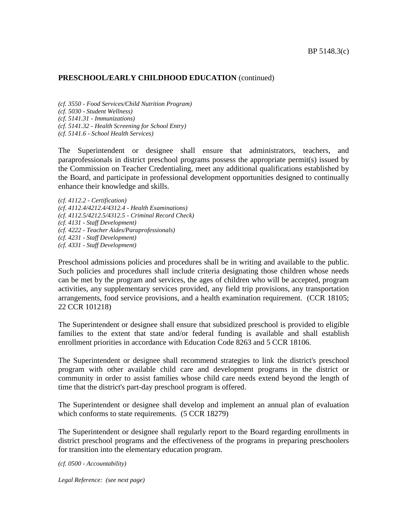*(cf. 3550 - Food Services/Child Nutrition Program) (cf. 5030 - Student Wellness)*

*(cf. 5141.31 - Immunizations)*

*(cf. 5141.32 - Health Screening for School Entry)*

*(cf. 5141.6 - School Health Services)*

The Superintendent or designee shall ensure that administrators, teachers, and paraprofessionals in district preschool programs possess the appropriate permit(s) issued by the Commission on Teacher Credentialing, meet any additional qualifications established by the Board, and participate in professional development opportunities designed to continually enhance their knowledge and skills.

*(cf. 4112.2 - Certification) (cf. 4112.4/4212.4/4312.4 - Health Examinations) (cf. 4112.5/4212.5/4312.5 - Criminal Record Check) (cf. 4131 - Staff Development) (cf. 4222 - Teacher Aides/Paraprofessionals) (cf. 4231 - Staff Development) (cf. 4331 - Staff Development)*

Preschool admissions policies and procedures shall be in writing and available to the public. Such policies and procedures shall include criteria designating those children whose needs can be met by the program and services, the ages of children who will be accepted, program activities, any supplementary services provided, any field trip provisions, any transportation arrangements, food service provisions, and a health examination requirement. (CCR 18105; 22 CCR 101218)

The Superintendent or designee shall ensure that subsidized preschool is provided to eligible families to the extent that state and/or federal funding is available and shall establish enrollment priorities in accordance with Education Code 8263 and 5 CCR 18106.

The Superintendent or designee shall recommend strategies to link the district's preschool program with other available child care and development programs in the district or community in order to assist families whose child care needs extend beyond the length of time that the district's part-day preschool program is offered.

The Superintendent or designee shall develop and implement an annual plan of evaluation which conforms to state requirements. (5 CCR 18279)

The Superintendent or designee shall regularly report to the Board regarding enrollments in district preschool programs and the effectiveness of the programs in preparing preschoolers for transition into the elementary education program.

*(cf. 0500 - Accountability)*

*Legal Reference: (see next page)*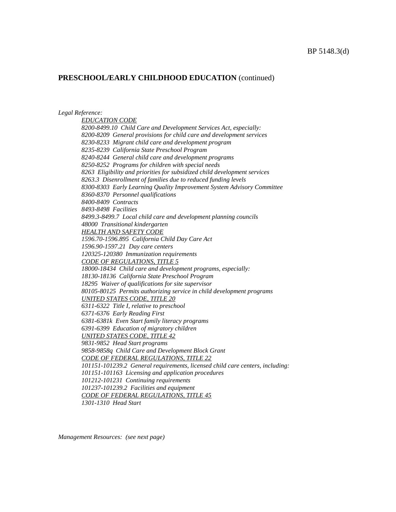#### *Legal Reference:*

*EDUCATION CODE 8200-8499.10 Child Care and Development Services Act, especially: 8200-8209 General provisions for child care and development services 8230-8233 Migrant child care and development program 8235-8239 California State Preschool Program 8240-8244 General child care and development programs 8250-8252 Programs for children with special needs 8263 Eligibility and priorities for subsidized child development services 8263.3 Disenrollment of families due to reduced funding levels 8300-8303 Early Learning Quality Improvement System Advisory Committee 8360-8370 Personnel qualifications 8400-8409 Contracts 8493-8498 Facilities 8499.3-8499.7 Local child care and development planning councils 48000 Transitional kindergarten HEALTH AND SAFETY CODE 1596.70-1596.895 California Child Day Care Act 1596.90-1597.21 Day care centers 120325-120380 Immunization requirements CODE OF REGULATIONS, TITLE 5 18000-18434 Child care and development programs, especially: 18130-18136 California State Preschool Program 18295 Waiver of qualifications for site supervisor 80105-80125 Permits authorizing service in child development programs UNITED STATES CODE, TITLE 20 6311-6322 Title I, relative to preschool 6371-6376 Early Reading First 6381-6381k Even Start family literacy programs 6391-6399 Education of migratory children UNITED STATES CODE, TITLE 42 9831-9852 Head Start programs 9858-9858q Child Care and Development Block Grant CODE OF FEDERAL REGULATIONS, TITLE 22 101151-101239.2 General requirements, licensed child care centers, including: 101151-101163 Licensing and application procedures 101212-101231 Continuing requirements 101237-101239.2 Facilities and equipment CODE OF FEDERAL REGULATIONS, TITLE 45 1301-1310 Head Start*

*Management Resources: (see next page)*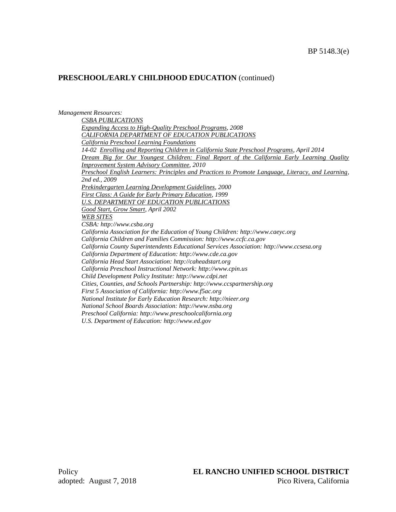*Management Resources: CSBA PUBLICATIONS Expanding Access to High-Quality Preschool Programs, 2008 CALIFORNIA DEPARTMENT OF EDUCATION PUBLICATIONS California Preschool Learning Foundations 14-02 Enrolling and Reporting Children in California State Preschool Programs, April 2014 Dream Big for Our Youngest Children: Final Report of the California Early Learning Quality Improvement System Advisory Committee, 2010 Preschool English Learners: Principles and Practices to Promote Language, Literacy, and Learning, 2nd ed., 2009 Prekindergarten Learning Development Guidelines, 2000 First Class: A Guide for Early Primary Education, 1999 U.S. DEPARTMENT OF EDUCATION PUBLICATIONS Good Start, Grow Smart, April 2002 WEB SITES CSBA: http://www.csba.org California Association for the Education of Young Children: http://www.caeyc.org California Children and Families Commission: http://www.ccfc.ca.gov California County Superintendents Educational Services Association: http://www.ccsesa.org California Department of Education: http://www.cde.ca.gov California Head Start Association: http://caheadstart.org California Preschool Instructional Network: http://www.cpin.us Child Development Policy Institute: http://www.cdpi.net Cities, Counties, and Schools Partnership: http://www.ccspartnership.org First 5 Association of California: http://www.f5ac.org National Institute for Early Education Research: http://nieer.org National School Boards Association: http://www.nsba.org Preschool California: http://www.preschoolcalifornia.org U.S. Department of Education: http://www.ed.gov*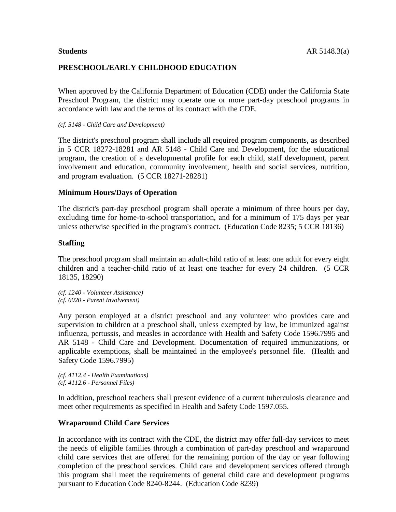## **PRESCHOOL/EARLY CHILDHOOD EDUCATION**

When approved by the California Department of Education (CDE) under the California State Preschool Program, the district may operate one or more part-day preschool programs in accordance with law and the terms of its contract with the CDE.

#### *(cf. 5148 - Child Care and Development)*

The district's preschool program shall include all required program components, as described in 5 CCR 18272-18281 and AR 5148 - Child Care and Development, for the educational program, the creation of a developmental profile for each child, staff development, parent involvement and education, community involvement, health and social services, nutrition, and program evaluation. (5 CCR 18271-28281)

#### **Minimum Hours/Days of Operation**

The district's part-day preschool program shall operate a minimum of three hours per day, excluding time for home-to-school transportation, and for a minimum of 175 days per year unless otherwise specified in the program's contract. (Education Code 8235; 5 CCR 18136)

#### **Staffing**

The preschool program shall maintain an adult-child ratio of at least one adult for every eight children and a teacher-child ratio of at least one teacher for every 24 children. (5 CCR 18135, 18290)

*(cf. 1240 - Volunteer Assistance) (cf. 6020 - Parent Involvement)*

Any person employed at a district preschool and any volunteer who provides care and supervision to children at a preschool shall, unless exempted by law, be immunized against influenza, pertussis, and measles in accordance with Health and Safety Code 1596.7995 and AR 5148 - Child Care and Development. Documentation of required immunizations, or applicable exemptions, shall be maintained in the employee's personnel file. (Health and Safety Code 1596.7995)

*(cf. 4112.4 - Health Examinations) (cf. 4112.6 - Personnel Files)*

In addition, preschool teachers shall present evidence of a current tuberculosis clearance and meet other requirements as specified in Health and Safety Code 1597.055.

#### **Wraparound Child Care Services**

In accordance with its contract with the CDE, the district may offer full-day services to meet the needs of eligible families through a combination of part-day preschool and wraparound child care services that are offered for the remaining portion of the day or year following completion of the preschool services. Child care and development services offered through this program shall meet the requirements of general child care and development programs pursuant to Education Code 8240-8244. (Education Code 8239)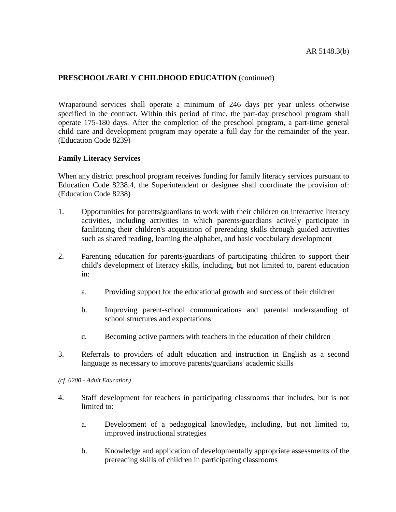Wraparound services shall operate a minimum of 246 days per year unless otherwise specified in the contract. Within this period of time, the part-day preschool program shall operate 175-180 days. After the completion of the preschool program, a part-time general child care and development program may operate a full day for the remainder of the year. (Education Code 8239)

## **Family Literacy Services**

When any district preschool program receives funding for family literacy services pursuant to Education Code 8238.4, the Superintendent or designee shall coordinate the provision of: (Education Code 8238)

- 1. Opportunities for parents/guardians to work with their children on interactive literacy activities, including activities in which parents/guardians actively participate in facilitating their children's acquisition of prereading skills through guided activities such as shared reading, learning the alphabet, and basic vocabulary development
- 2. Parenting education for parents/guardians of participating children to support their child's development of literacy skills, including, but not limited to, parent education in:
	- a. Providing support for the educational growth and success of their children
	- b. Improving parent-school communications and parental understanding of school structures and expectations
	- c. Becoming active partners with teachers in the education of their children
- 3. Referrals to providers of adult education and instruction in English as a second language as necessary to improve parents/guardians' academic skills

*(cf. 6200 - Adult Education)*

- 4. Staff development for teachers in participating classrooms that includes, but is not limited to:
	- a. Development of a pedagogical knowledge, including, but not limited to, improved instructional strategies
	- b. Knowledge and application of developmentally appropriate assessments of the prereading skills of children in participating classrooms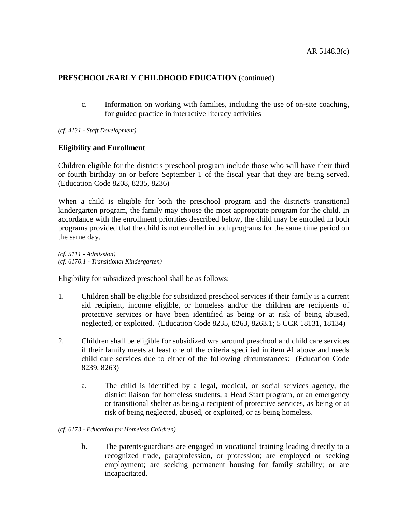c. Information on working with families, including the use of on-site coaching, for guided practice in interactive literacy activities

*(cf. 4131 - Staff Development)*

## **Eligibility and Enrollment**

Children eligible for the district's preschool program include those who will have their third or fourth birthday on or before September 1 of the fiscal year that they are being served. (Education Code 8208, 8235, 8236)

When a child is eligible for both the preschool program and the district's transitional kindergarten program, the family may choose the most appropriate program for the child. In accordance with the enrollment priorities described below, the child may be enrolled in both programs provided that the child is not enrolled in both programs for the same time period on the same day.

*(cf. 5111 - Admission) (cf. 6170.1 - Transitional Kindergarten)*

Eligibility for subsidized preschool shall be as follows:

- 1. Children shall be eligible for subsidized preschool services if their family is a current aid recipient, income eligible, or homeless and/or the children are recipients of protective services or have been identified as being or at risk of being abused, neglected, or exploited. (Education Code 8235, 8263, 8263.1; 5 CCR 18131, 18134)
- 2. Children shall be eligible for subsidized wraparound preschool and child care services if their family meets at least one of the criteria specified in item #1 above and needs child care services due to either of the following circumstances: (Education Code 8239, 8263)
	- a. The child is identified by a legal, medical, or social services agency, the district liaison for homeless students, a Head Start program, or an emergency or transitional shelter as being a recipient of protective services, as being or at risk of being neglected, abused, or exploited, or as being homeless.
- *(cf. 6173 - Education for Homeless Children)*
	- b. The parents/guardians are engaged in vocational training leading directly to a recognized trade, paraprofession, or profession; are employed or seeking employment; are seeking permanent housing for family stability; or are incapacitated.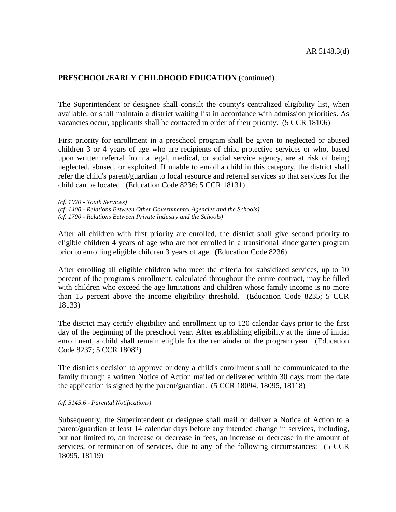The Superintendent or designee shall consult the county's centralized eligibility list, when available, or shall maintain a district waiting list in accordance with admission priorities. As vacancies occur, applicants shall be contacted in order of their priority. (5 CCR 18106)

First priority for enrollment in a preschool program shall be given to neglected or abused children 3 or 4 years of age who are recipients of child protective services or who, based upon written referral from a legal, medical, or social service agency, are at risk of being neglected, abused, or exploited. If unable to enroll a child in this category, the district shall refer the child's parent/guardian to local resource and referral services so that services for the child can be located. (Education Code 8236; 5 CCR 18131)

*(cf. 1020 - Youth Services) (cf. 1400 - Relations Between Other Governmental Agencies and the Schools) (cf. 1700 - Relations Between Private Industry and the Schools)*

After all children with first priority are enrolled, the district shall give second priority to eligible children 4 years of age who are not enrolled in a transitional kindergarten program prior to enrolling eligible children 3 years of age. (Education Code 8236)

After enrolling all eligible children who meet the criteria for subsidized services, up to 10 percent of the program's enrollment, calculated throughout the entire contract, may be filled with children who exceed the age limitations and children whose family income is no more than 15 percent above the income eligibility threshold. (Education Code 8235; 5 CCR 18133)

The district may certify eligibility and enrollment up to 120 calendar days prior to the first day of the beginning of the preschool year. After establishing eligibility at the time of initial enrollment, a child shall remain eligible for the remainder of the program year. (Education Code 8237; 5 CCR 18082)

The district's decision to approve or deny a child's enrollment shall be communicated to the family through a written Notice of Action mailed or delivered within 30 days from the date the application is signed by the parent/guardian. (5 CCR 18094, 18095, 18118)

#### *(cf. 5145.6 - Parental Notifications)*

Subsequently, the Superintendent or designee shall mail or deliver a Notice of Action to a parent/guardian at least 14 calendar days before any intended change in services, including, but not limited to, an increase or decrease in fees, an increase or decrease in the amount of services, or termination of services, due to any of the following circumstances: (5 CCR 18095, 18119)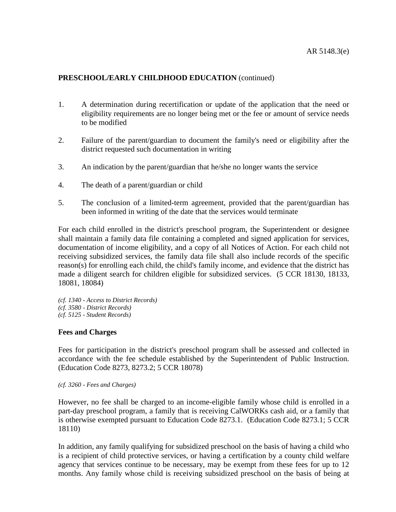- 1. A determination during recertification or update of the application that the need or eligibility requirements are no longer being met or the fee or amount of service needs to be modified
- 2. Failure of the parent/guardian to document the family's need or eligibility after the district requested such documentation in writing
- 3. An indication by the parent/guardian that he/she no longer wants the service
- 4. The death of a parent/guardian or child
- 5. The conclusion of a limited-term agreement, provided that the parent/guardian has been informed in writing of the date that the services would terminate

For each child enrolled in the district's preschool program, the Superintendent or designee shall maintain a family data file containing a completed and signed application for services, documentation of income eligibility, and a copy of all Notices of Action. For each child not receiving subsidized services, the family data file shall also include records of the specific reason(s) for enrolling each child, the child's family income, and evidence that the district has made a diligent search for children eligible for subsidized services. (5 CCR 18130, 18133, 18081, 18084)

*(cf. 1340 - Access to District Records) (cf. 3580 - District Records) (cf. 5125 - Student Records)*

## **Fees and Charges**

Fees for participation in the district's preschool program shall be assessed and collected in accordance with the fee schedule established by the Superintendent of Public Instruction. (Education Code 8273, 8273.2; 5 CCR 18078)

*(cf. 3260 - Fees and Charges)*

However, no fee shall be charged to an income-eligible family whose child is enrolled in a part-day preschool program, a family that is receiving CalWORKs cash aid, or a family that is otherwise exempted pursuant to Education Code 8273.1. (Education Code 8273.1; 5 CCR 18110)

In addition, any family qualifying for subsidized preschool on the basis of having a child who is a recipient of child protective services, or having a certification by a county child welfare agency that services continue to be necessary, may be exempt from these fees for up to 12 months. Any family whose child is receiving subsidized preschool on the basis of being at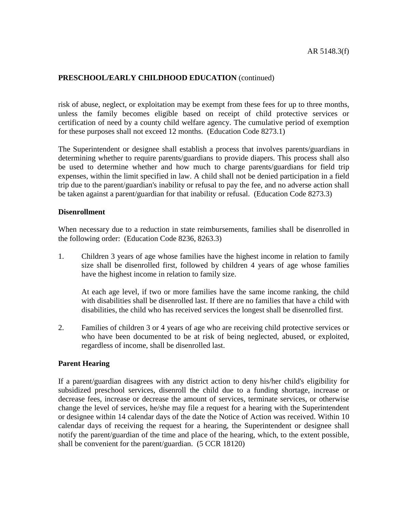risk of abuse, neglect, or exploitation may be exempt from these fees for up to three months, unless the family becomes eligible based on receipt of child protective services or certification of need by a county child welfare agency. The cumulative period of exemption for these purposes shall not exceed 12 months. (Education Code 8273.1)

The Superintendent or designee shall establish a process that involves parents/guardians in determining whether to require parents/guardians to provide diapers. This process shall also be used to determine whether and how much to charge parents/guardians for field trip expenses, within the limit specified in law. A child shall not be denied participation in a field trip due to the parent/guardian's inability or refusal to pay the fee, and no adverse action shall be taken against a parent/guardian for that inability or refusal. (Education Code 8273.3)

## **Disenrollment**

When necessary due to a reduction in state reimbursements, families shall be disenrolled in the following order: (Education Code 8236, 8263.3)

1. Children 3 years of age whose families have the highest income in relation to family size shall be disenrolled first, followed by children 4 years of age whose families have the highest income in relation to family size.

At each age level, if two or more families have the same income ranking, the child with disabilities shall be disenrolled last. If there are no families that have a child with disabilities, the child who has received services the longest shall be disenrolled first.

2. Families of children 3 or 4 years of age who are receiving child protective services or who have been documented to be at risk of being neglected, abused, or exploited, regardless of income, shall be disenrolled last.

## **Parent Hearing**

If a parent/guardian disagrees with any district action to deny his/her child's eligibility for subsidized preschool services, disenroll the child due to a funding shortage, increase or decrease fees, increase or decrease the amount of services, terminate services, or otherwise change the level of services, he/she may file a request for a hearing with the Superintendent or designee within 14 calendar days of the date the Notice of Action was received. Within 10 calendar days of receiving the request for a hearing, the Superintendent or designee shall notify the parent/guardian of the time and place of the hearing, which, to the extent possible, shall be convenient for the parent/guardian. (5 CCR 18120)